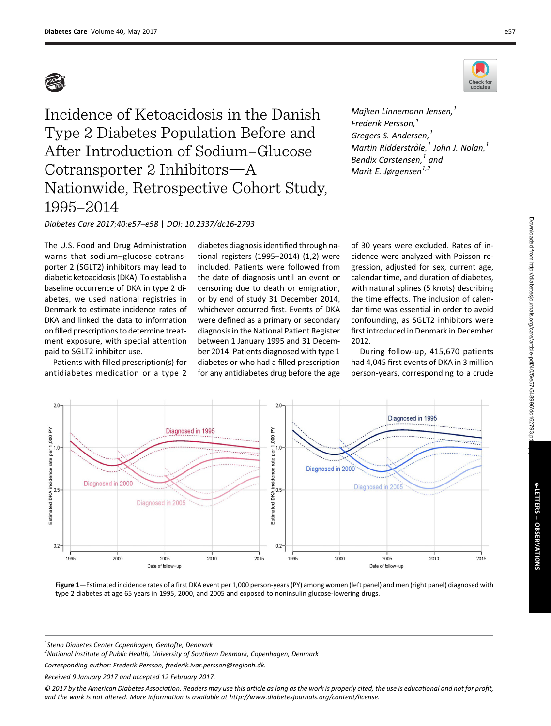

Diabetes Care 2017;40:e57–e58 | DOI: 10.2337/dc16-2793

The U.S. Food and Drug Administration warns that sodium–glucose cotransporter 2 (SGLT2) inhibitors may lead to diabetic ketoacidosis (DKA). To establish a baseline occurrence of DKA in type 2 diabetes, we used national registries in Denmark to estimate incidence rates of DKA and linked the data to information on filled prescriptions to determine treatment exposure, with special attention paid to SGLT2 inhibitor use.

Patients with filled prescription(s) for antidiabetes medication or a type 2

diabetes diagnosis identified through national registers (1995–2014) (1,2) were included. Patients were followed from the date of diagnosis until an event or censoring due to death or emigration, or by end of study 31 December 2014, whichever occurred first. Events of DKA were defined as a primary or secondary diagnosis in the National Patient Register between 1 January 1995 and 31 December 2014. Patients diagnosed with type 1 diabetes or who had a filled prescription for any antidiabetes drug before the age



Majken Linnemann Jensen, $<sup>1</sup>$ </sup> Frederik Persson.<sup>1</sup> Gregers S. Andersen,<sup>1</sup> Martin Ridderstråle, $^1$  John J. Nolan, $^1$ Bendix Carstensen. $<sup>1</sup>$  and</sup> Marit E. Jørgensen $1,2$ 

of 30 years were excluded. Rates of incidence were analyzed with Poisson regression, adjusted for sex, current age, calendar time, and duration of diabetes, with natural splines (5 knots) describing the time effects. The inclusion of calendar time was essential in order to avoid confounding, as SGLT2 inhibitors were first introduced in Denmark in December 2012.

During follow-up, 415,670 patients had 4,045 first events of DKA in 3 million person-years, corresponding to a crude



<sup>1</sup>Steno Diabetes Center Copenhagen, Gentofte, Denmark

<sup>2</sup> National Institute of Public Health, University of Southern Denmark, Copenhagen, Denmark

Corresponding author: Frederik Persson, [frederik.ivar.persson@regionh.dk.](mailto:frederik.ivar.persson@regionh.dk)

Received 9 January 2017 and accepted 12 February 2017.

© 2017 by the American Diabetes Association. Readers may use this article as long as the work is properly cited, the use is educational and not for profit, and the work is not altered. More information is available at [http://www.diabetesjournals.org/content/license.](http://www.diabetesjournals.org/content/license)